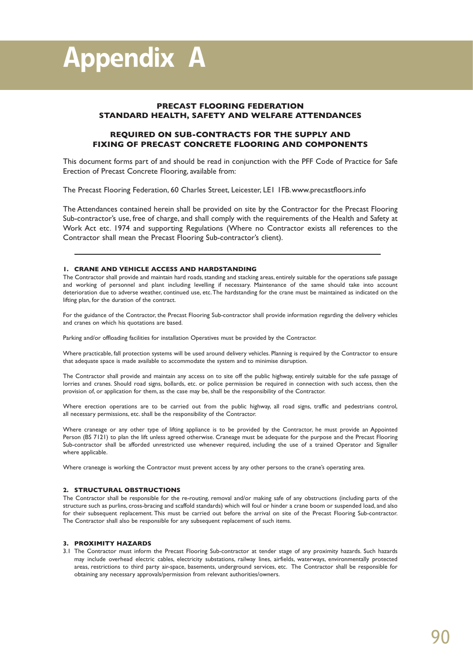# **PRECAST FLOORING FEDERATION STANDARD HEALTH, SAFETY AND WELFARE ATTENDANCES**

# **REQUIRED ON SUB-CONTRACTS FOR THE SUPPLY AND FIXING OF PRECAST CONCRETE FLOORING AND COMPONENTS**

This document forms part of and should be read in conjunction with the PFF Code of Practice for Safe Erection of Precast Concrete Flooring, available from:

The Precast Flooring Federation, 60 Charles Street, Leicester, LE1 1FB.www.precastfloors.info

The Attendances contained herein shall be provided on site by the Contractor for the Precast Flooring Sub-contractor's use, free of charge, and shall comply with the requirements of the Health and Safety at Work Act etc. 1974 and supporting Regulations (Where no Contractor exists all references to the Contractor shall mean the Precast Flooring Sub-contractor's client).

## **1. CRANE AND VEHICLE ACCESS AND HARDSTANDING**

The Contractor shall provide and maintain hard roads, standing and stacking areas, entirely suitable for the operations safe passage and working of personnel and plant including levelling if necessary. Maintenance of the same should take into account deterioration due to adverse weather, continued use, etc.The hardstanding for the crane must be maintained as indicated on the lifting plan, for the duration of the contract.

For the guidance of the Contractor, the Precast Flooring Sub-contractor shall provide information regarding the delivery vehicles and cranes on which his quotations are based.

Parking and/or offloading facilities for installation Operatives must be provided by the Contractor.

Where practicable, fall protection systems will be used around delivery vehicles. Planning is required by the Contractor to ensure that adequate space is made available to accommodate the system and to minimise disruption.

The Contractor shall provide and maintain any access on to site off the public highway, entirely suitable for the safe passage of lorries and cranes. Should road signs, bollards, etc. or police permission be required in connection with such access, then the provision of, or application for them, as the case may be, shall be the responsibility of the Contractor.

Where erection operations are to be carried out from the public highway, all road signs, traffic and pedestrians control, all necessary permissions, etc. shall be the responsibility of the Contractor.

Where craneage or any other type of lifting appliance is to be provided by the Contractor, he must provide an Appointed Person (BS 7121) to plan the lift unless agreed otherwise. Craneage must be adequate for the purpose and the Precast Flooring Sub-contractor shall be afforded unrestricted use whenever required, including the use of a trained Operator and Signaller where applicable.

Where craneage is working the Contractor must prevent access by any other persons to the crane's operating area.

## **2. STRUCTURAL OBSTRUCTIONS**

The Contractor shall be responsible for the re-routing, removal and/or making safe of any obstructions (including parts of the structure such as purlins, cross-bracing and scaffold standards) which will foul or hinder a crane boom or suspended load, and also for their subsequent replacement. This must be carried out before the arrival on site of the Precast Flooring Sub-contractor. The Contractor shall also be responsible for any subsequent replacement of such items.

## **3. PROXIMITY HAZARDS**

3.1 The Contractor must inform the Precast Flooring Sub-contractor at tender stage of any proximity hazards. Such hazards may include overhead electric cables, electricity substations, railway lines, airfields, waterways, environmentally protected areas, restrictions to third party air-space, basements, underground services, etc. The Contractor shall be responsible for obtaining any necessary approvals/permission from relevant authorities/owners.